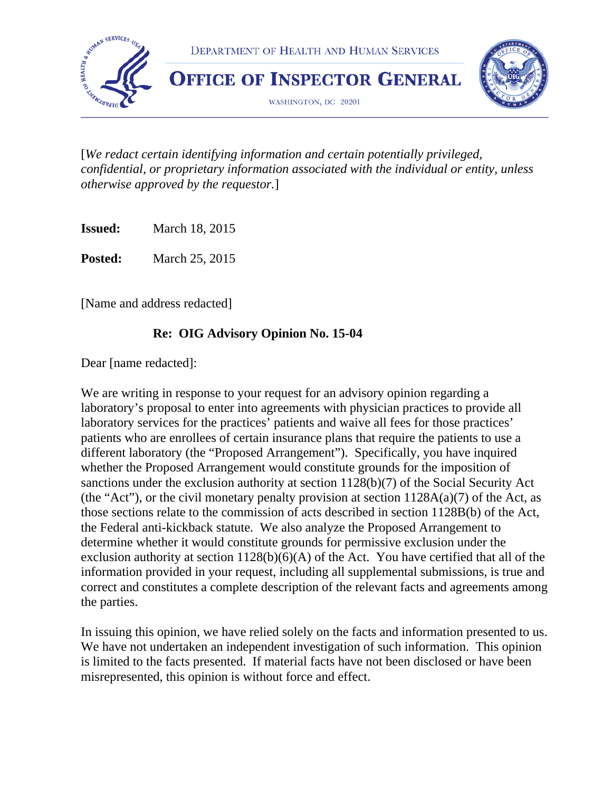

[*We redact certain identifying information and certain potentially privileged, confidential, or proprietary information associated with the individual or entity, unless otherwise approved by the requestor.*]

**Issued:** March 18, 2015

**Posted:** March 25, 2015

[Name and address redacted]

### **Re: OIG Advisory Opinion No. 15-04**

Dear [name redacted]:

We are writing in response to your request for an advisory opinion regarding a laboratory's proposal to enter into agreements with physician practices to provide all laboratory services for the practices' patients and waive all fees for those practices' patients who are enrollees of certain insurance plans that require the patients to use a different laboratory (the "Proposed Arrangement"). Specifically, you have inquired whether the Proposed Arrangement would constitute grounds for the imposition of sanctions under the exclusion authority at section 1128(b)(7) of the Social Security Act (the "Act"), or the civil monetary penalty provision at section  $1128A(a)(7)$  of the Act, as those sections relate to the commission of acts described in section 1128B(b) of the Act, the Federal anti-kickback statute. We also analyze the Proposed Arrangement to determine whether it would constitute grounds for permissive exclusion under the exclusion authority at section  $1128(b)(6)(A)$  of the Act. You have certified that all of the information provided in your request, including all supplemental submissions, is true and correct and constitutes a complete description of the relevant facts and agreements among the parties.

In issuing this opinion, we have relied solely on the facts and information presented to us. We have not undertaken an independent investigation of such information. This opinion is limited to the facts presented. If material facts have not been disclosed or have been misrepresented, this opinion is without force and effect.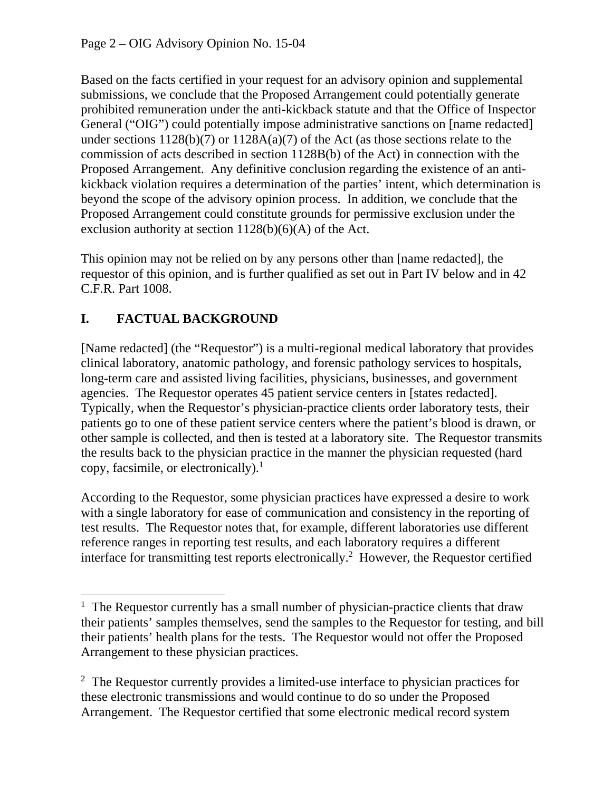Based on the facts certified in your request for an advisory opinion and supplemental submissions, we conclude that the Proposed Arrangement could potentially generate prohibited remuneration under the anti-kickback statute and that the Office of Inspector General ("OIG") could potentially impose administrative sanctions on [name redacted] under sections 1128(b)(7) or 1128A(a)(7) of the Act (as those sections relate to the commission of acts described in section 1128B(b) of the Act) in connection with the Proposed Arrangement. Any definitive conclusion regarding the existence of an antikickback violation requires a determination of the parties' intent, which determination is beyond the scope of the advisory opinion process. In addition, we conclude that the Proposed Arrangement could constitute grounds for permissive exclusion under the exclusion authority at section  $1128(b)(6)(A)$  of the Act.

This opinion may not be relied on by any persons other than [name redacted], the requestor of this opinion, and is further qualified as set out in Part IV below and in 42 C.F.R. Part 1008.

# **I. FACTUAL BACKGROUND**

 $\overline{a}$ 

[Name redacted] (the "Requestor") is a multi-regional medical laboratory that provides clinical laboratory, anatomic pathology, and forensic pathology services to hospitals, long-term care and assisted living facilities, physicians, businesses, and government agencies. The Requestor operates 45 patient service centers in [states redacted]. Typically, when the Requestor's physician-practice clients order laboratory tests, their patients go to one of these patient service centers where the patient's blood is drawn, or other sample is collected, and then is tested at a laboratory site. The Requestor transmits the results back to the physician practice in the manner the physician requested (hard copy, facsimile, or electronically). $<sup>1</sup>$ </sup>

According to the Requestor, some physician practices have expressed a desire to work with a single laboratory for ease of communication and consistency in the reporting of test results. The Requestor notes that, for example, different laboratories use different reference ranges in reporting test results, and each laboratory requires a different interface for transmitting test reports electronically.<sup>2</sup> However, the Requestor certified

<sup>&</sup>lt;sup>1</sup> The Requestor currently has a small number of physician-practice clients that draw their patients' samples themselves, send the samples to the Requestor for testing, and bill their patients' health plans for the tests. The Requestor would not offer the Proposed Arrangement to these physician practices.

<sup>&</sup>lt;sup>2</sup> The Requestor currently provides a limited-use interface to physician practices for these electronic transmissions and would continue to do so under the Proposed Arrangement. The Requestor certified that some electronic medical record system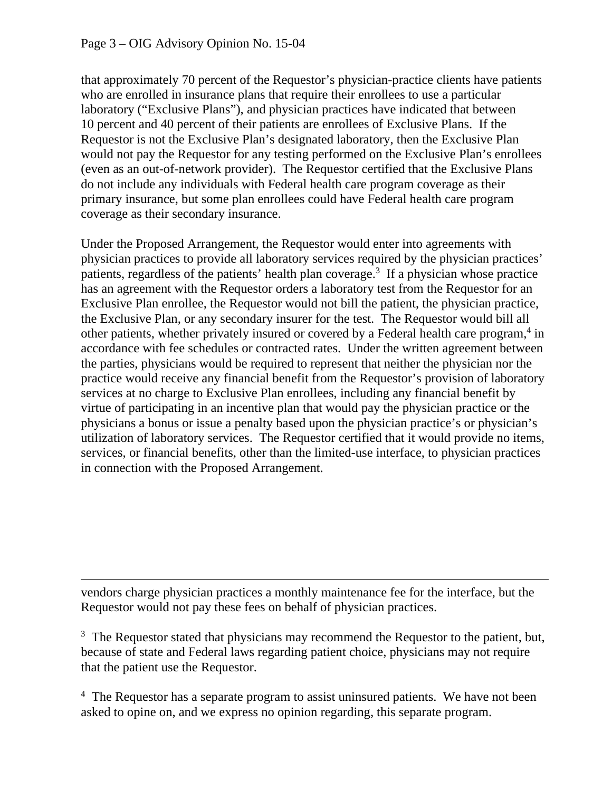$\overline{a}$ 

that approximately 70 percent of the Requestor's physician-practice clients have patients who are enrolled in insurance plans that require their enrollees to use a particular laboratory ("Exclusive Plans"), and physician practices have indicated that between 10 percent and 40 percent of their patients are enrollees of Exclusive Plans. If the Requestor is not the Exclusive Plan's designated laboratory, then the Exclusive Plan would not pay the Requestor for any testing performed on the Exclusive Plan's enrollees (even as an out-of-network provider). The Requestor certified that the Exclusive Plans do not include any individuals with Federal health care program coverage as their primary insurance, but some plan enrollees could have Federal health care program coverage as their secondary insurance.

Under the Proposed Arrangement, the Requestor would enter into agreements with physician practices to provide all laboratory services required by the physician practices' patients, regardless of the patients' health plan coverage.<sup>3</sup> If a physician whose practice has an agreement with the Requestor orders a laboratory test from the Requestor for an Exclusive Plan enrollee, the Requestor would not bill the patient, the physician practice, the Exclusive Plan, or any secondary insurer for the test. The Requestor would bill all other patients, whether privately insured or covered by a Federal health care program,<sup>4</sup> in accordance with fee schedules or contracted rates. Under the written agreement between the parties, physicians would be required to represent that neither the physician nor the practice would receive any financial benefit from the Requestor's provision of laboratory services at no charge to Exclusive Plan enrollees, including any financial benefit by virtue of participating in an incentive plan that would pay the physician practice or the physicians a bonus or issue a penalty based upon the physician practice's or physician's utilization of laboratory services. The Requestor certified that it would provide no items, services, or financial benefits, other than the limited-use interface, to physician practices in connection with the Proposed Arrangement.

vendors charge physician practices a monthly maintenance fee for the interface, but the Requestor would not pay these fees on behalf of physician practices.

 $3$  The Requestor stated that physicians may recommend the Requestor to the patient, but, because of state and Federal laws regarding patient choice, physicians may not require that the patient use the Requestor.

<sup>4</sup> The Requestor has a separate program to assist uninsured patients. We have not been asked to opine on, and we express no opinion regarding, this separate program.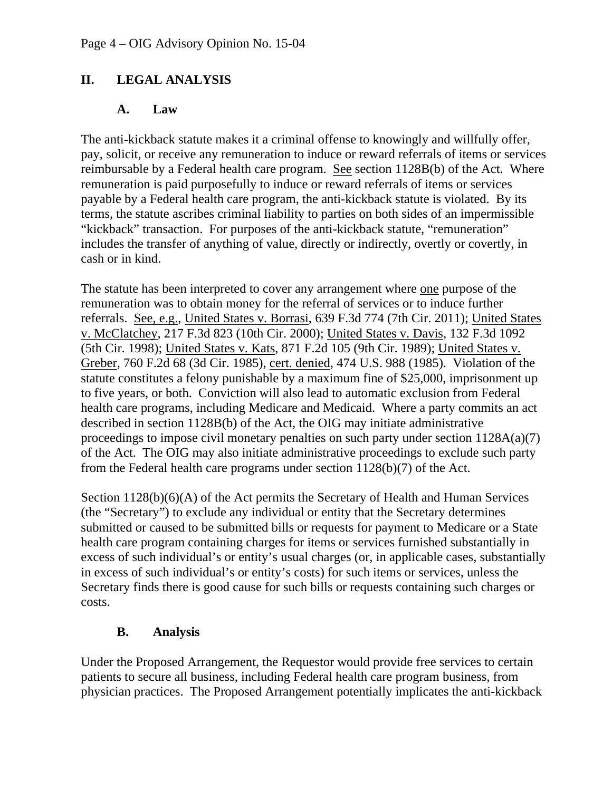## **II. LEGAL ANALYSIS**

#### **A. Law**

The anti-kickback statute makes it a criminal offense to knowingly and willfully offer, pay, solicit, or receive any remuneration to induce or reward referrals of items or services reimbursable by a Federal health care program. See section 1128B(b) of the Act. Where remuneration is paid purposefully to induce or reward referrals of items or services payable by a Federal health care program, the anti-kickback statute is violated. By its terms, the statute ascribes criminal liability to parties on both sides of an impermissible "kickback" transaction. For purposes of the anti-kickback statute, "remuneration" includes the transfer of anything of value, directly or indirectly, overtly or covertly, in cash or in kind.

The statute has been interpreted to cover any arrangement where one purpose of the remuneration was to obtain money for the referral of services or to induce further referrals. See, e.g., United States v. Borrasi, 639 F.3d 774 (7th Cir. 2011); United States v. McClatchey, 217 F.3d 823 (10th Cir. 2000); United States v. Davis, 132 F.3d 1092 (5th Cir. 1998); United States v. Kats, 871 F.2d 105 (9th Cir. 1989); United States v. Greber, 760 F.2d 68 (3d Cir. 1985), cert. denied, 474 U.S. 988 (1985). Violation of the statute constitutes a felony punishable by a maximum fine of \$25,000, imprisonment up to five years, or both. Conviction will also lead to automatic exclusion from Federal health care programs, including Medicare and Medicaid. Where a party commits an act described in section 1128B(b) of the Act, the OIG may initiate administrative proceedings to impose civil monetary penalties on such party under section 1128A(a)(7) of the Act. The OIG may also initiate administrative proceedings to exclude such party from the Federal health care programs under section 1128(b)(7) of the Act.

Section 1128(b)(6)(A) of the Act permits the Secretary of Health and Human Services (the "Secretary") to exclude any individual or entity that the Secretary determines submitted or caused to be submitted bills or requests for payment to Medicare or a State health care program containing charges for items or services furnished substantially in excess of such individual's or entity's usual charges (or, in applicable cases, substantially in excess of such individual's or entity's costs) for such items or services, unless the Secretary finds there is good cause for such bills or requests containing such charges or costs.

#### **B. Analysis**

Under the Proposed Arrangement, the Requestor would provide free services to certain patients to secure all business, including Federal health care program business, from physician practices. The Proposed Arrangement potentially implicates the anti-kickback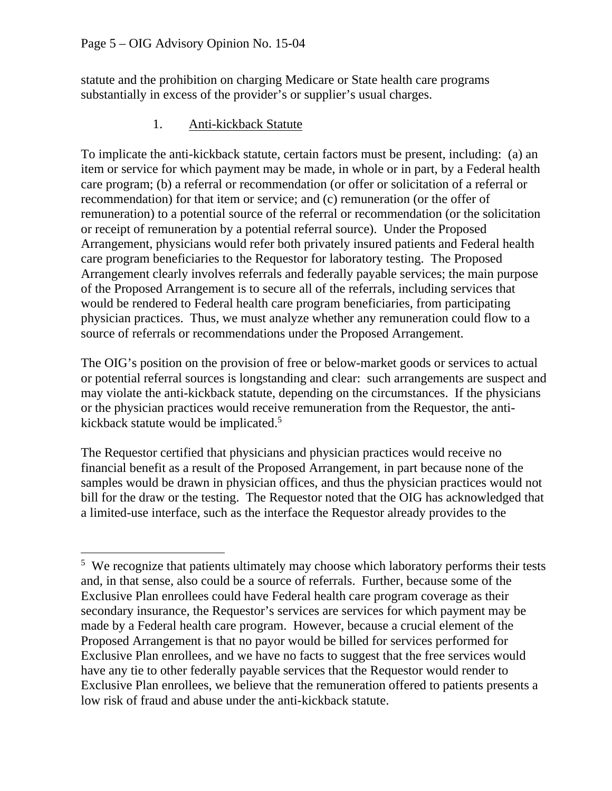$\overline{a}$ 

statute and the prohibition on charging Medicare or State health care programs substantially in excess of the provider's or supplier's usual charges.

1. Anti-kickback Statute

To implicate the anti-kickback statute, certain factors must be present, including: (a) an item or service for which payment may be made, in whole or in part, by a Federal health care program; (b) a referral or recommendation (or offer or solicitation of a referral or recommendation) for that item or service; and (c) remuneration (or the offer of remuneration) to a potential source of the referral or recommendation (or the solicitation or receipt of remuneration by a potential referral source). Under the Proposed Arrangement, physicians would refer both privately insured patients and Federal health care program beneficiaries to the Requestor for laboratory testing. The Proposed Arrangement clearly involves referrals and federally payable services; the main purpose of the Proposed Arrangement is to secure all of the referrals, including services that would be rendered to Federal health care program beneficiaries, from participating physician practices. Thus, we must analyze whether any remuneration could flow to a source of referrals or recommendations under the Proposed Arrangement.

The OIG's position on the provision of free or below-market goods or services to actual or potential referral sources is longstanding and clear: such arrangements are suspect and may violate the anti-kickback statute, depending on the circumstances. If the physicians or the physician practices would receive remuneration from the Requestor, the antikickback statute would be implicated.<sup>5</sup>

The Requestor certified that physicians and physician practices would receive no financial benefit as a result of the Proposed Arrangement, in part because none of the samples would be drawn in physician offices, and thus the physician practices would not bill for the draw or the testing. The Requestor noted that the OIG has acknowledged that a limited-use interface, such as the interface the Requestor already provides to the

<sup>&</sup>lt;sup>5</sup> We recognize that patients ultimately may choose which laboratory performs their tests and, in that sense, also could be a source of referrals. Further, because some of the Exclusive Plan enrollees could have Federal health care program coverage as their secondary insurance, the Requestor's services are services for which payment may be made by a Federal health care program. However, because a crucial element of the Proposed Arrangement is that no payor would be billed for services performed for Exclusive Plan enrollees, and we have no facts to suggest that the free services would have any tie to other federally payable services that the Requestor would render to Exclusive Plan enrollees, we believe that the remuneration offered to patients presents a low risk of fraud and abuse under the anti-kickback statute.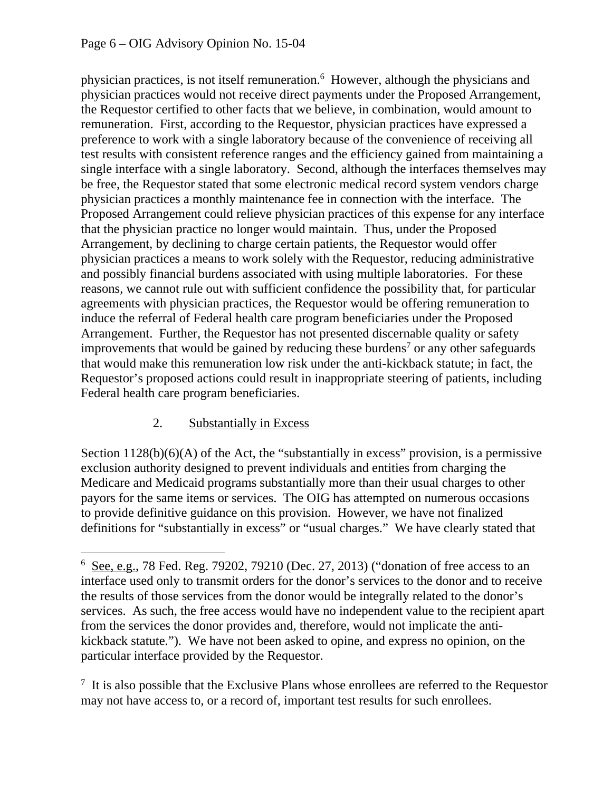physician practices, is not itself remuneration.<sup>6</sup> However, although the physicians and physician practices would not receive direct payments under the Proposed Arrangement, the Requestor certified to other facts that we believe, in combination, would amount to remuneration. First, according to the Requestor, physician practices have expressed a preference to work with a single laboratory because of the convenience of receiving all test results with consistent reference ranges and the efficiency gained from maintaining a single interface with a single laboratory. Second, although the interfaces themselves may be free, the Requestor stated that some electronic medical record system vendors charge physician practices a monthly maintenance fee in connection with the interface. The Proposed Arrangement could relieve physician practices of this expense for any interface that the physician practice no longer would maintain. Thus, under the Proposed Arrangement, by declining to charge certain patients, the Requestor would offer physician practices a means to work solely with the Requestor, reducing administrative and possibly financial burdens associated with using multiple laboratories. For these reasons, we cannot rule out with sufficient confidence the possibility that, for particular agreements with physician practices, the Requestor would be offering remuneration to induce the referral of Federal health care program beneficiaries under the Proposed Arrangement. Further, the Requestor has not presented discernable quality or safety improvements that would be gained by reducing these burdens<sup>7</sup> or any other safeguards that would make this remuneration low risk under the anti-kickback statute; in fact, the Requestor's proposed actions could result in inappropriate steering of patients, including Federal health care program beneficiaries.

## 2. Substantially in Excess

 $\overline{a}$ 

Section  $1128(b)(6)(A)$  of the Act, the "substantially in excess" provision, is a permissive exclusion authority designed to prevent individuals and entities from charging the Medicare and Medicaid programs substantially more than their usual charges to other payors for the same items or services. The OIG has attempted on numerous occasions to provide definitive guidance on this provision. However, we have not finalized definitions for "substantially in excess" or "usual charges." We have clearly stated that

 $6$  See, e.g., 78 Fed. Reg. 79202, 79210 (Dec. 27, 2013) ("donation of free access to an interface used only to transmit orders for the donor's services to the donor and to receive the results of those services from the donor would be integrally related to the donor's services. As such, the free access would have no independent value to the recipient apart from the services the donor provides and, therefore, would not implicate the antikickback statute."). We have not been asked to opine, and express no opinion, on the particular interface provided by the Requestor.

 $<sup>7</sup>$  It is also possible that the Exclusive Plans whose enrollees are referred to the Requestor</sup> may not have access to, or a record of, important test results for such enrollees.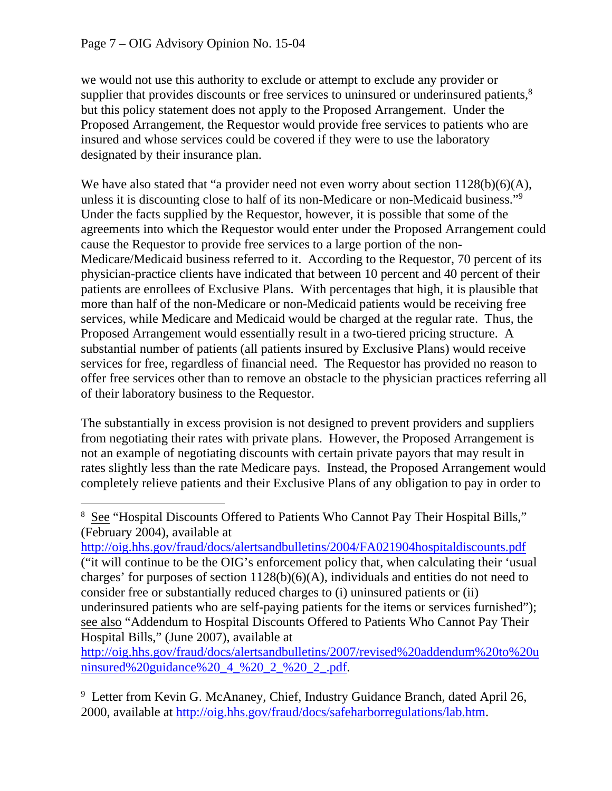$\overline{a}$ 

supplier that provides discounts or free services to uninsured or underinsured patients,<sup>8</sup> we would not use this authority to exclude or attempt to exclude any provider or but this policy statement does not apply to the Proposed Arrangement. Under the Proposed Arrangement, the Requestor would provide free services to patients who are insured and whose services could be covered if they were to use the laboratory designated by their insurance plan.

 unless it is discounting close to half of its non-Medicare or non-Medicaid business."9 We have also stated that "a provider need not even worry about section  $1128(b)(6)(A)$ , Under the facts supplied by the Requestor, however, it is possible that some of the agreements into which the Requestor would enter under the Proposed Arrangement could cause the Requestor to provide free services to a large portion of the non-Medicare/Medicaid business referred to it. According to the Requestor, 70 percent of its physician-practice clients have indicated that between 10 percent and 40 percent of their patients are enrollees of Exclusive Plans. With percentages that high, it is plausible that more than half of the non-Medicare or non-Medicaid patients would be receiving free services, while Medicare and Medicaid would be charged at the regular rate. Thus, the Proposed Arrangement would essentially result in a two-tiered pricing structure. A substantial number of patients (all patients insured by Exclusive Plans) would receive services for free, regardless of financial need. The Requestor has provided no reason to offer free services other than to remove an obstacle to the physician practices referring all of their laboratory business to the Requestor.

The substantially in excess provision is not designed to prevent providers and suppliers from negotiating their rates with private plans. However, the Proposed Arrangement is not an example of negotiating discounts with certain private payors that may result in rates slightly less than the rate Medicare pays. Instead, the Proposed Arrangement would completely relieve patients and their Exclusive Plans of any obligation to pay in order to

http://oig.hhs.gov/fraud/docs/alertsandbulletins/2004/FA021904hospitaldiscounts.pdf ("it will continue to be the OIG's enforcement policy that, when calculating their 'usual charges' for purposes of section 1128(b)(6)(A), individuals and entities do not need to consider free or substantially reduced charges to (i) uninsured patients or (ii) underinsured patients who are self-paying patients for the items or services furnished"); see also "Addendum to Hospital Discounts Offered to Patients Who Cannot Pay Their Hospital Bills," (June 2007), available at

[http://oig.hhs.gov/fraud/docs/alertsandbulletins/2007/revised%20addendum%20to%20u](http://oig.hhs.gov/fraud/docs/alertsandbulletins/2007/revised%20addendum%20to%20uninsured%20guidance%20_4_%20_2_%20_2_.pdf)  ninsured%20guidance%20\_4\_%20\_2\_%20\_2\_.pdf.

<sup>9</sup> Letter from Kevin G. McAnaney, Chief, Industry Guidance Branch, dated April 26, 2000, available at http://oig.hhs.gov/fraud/docs/safeharborregulations/lab.htm.

<sup>&</sup>lt;sup>8</sup> See "Hospital Discounts Offered to Patients Who Cannot Pay Their Hospital Bills," (February 2004), available at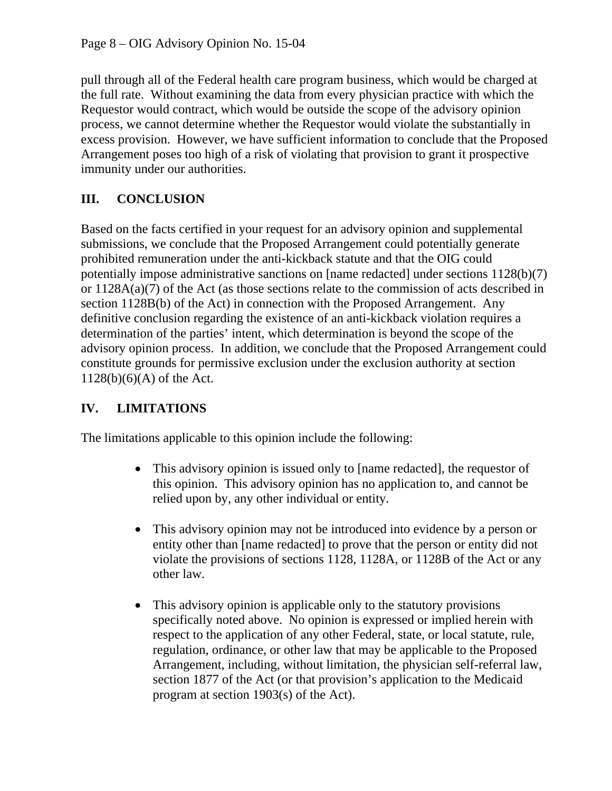pull through all of the Federal health care program business, which would be charged at the full rate. Without examining the data from every physician practice with which the Requestor would contract, which would be outside the scope of the advisory opinion process, we cannot determine whether the Requestor would violate the substantially in excess provision. However, we have sufficient information to conclude that the Proposed Arrangement poses too high of a risk of violating that provision to grant it prospective immunity under our authorities.

# **III. CONCLUSION**

Based on the facts certified in your request for an advisory opinion and supplemental submissions, we conclude that the Proposed Arrangement could potentially generate prohibited remuneration under the anti-kickback statute and that the OIG could potentially impose administrative sanctions on [name redacted] under sections 1128(b)(7) or 1128A(a)(7) of the Act (as those sections relate to the commission of acts described in section 1128B(b) of the Act) in connection with the Proposed Arrangement. Any definitive conclusion regarding the existence of an anti-kickback violation requires a determination of the parties' intent, which determination is beyond the scope of the advisory opinion process. In addition, we conclude that the Proposed Arrangement could constitute grounds for permissive exclusion under the exclusion authority at section  $1128(b)(6)(A)$  of the Act.

# **IV. LIMITATIONS**

The limitations applicable to this opinion include the following:

- This advisory opinion is issued only to [name redacted], the requestor of this opinion. This advisory opinion has no application to, and cannot be relied upon by, any other individual or entity.
- This advisory opinion may not be introduced into evidence by a person or entity other than [name redacted] to prove that the person or entity did not violate the provisions of sections 1128, 1128A, or 1128B of the Act or any other law.
- This advisory opinion is applicable only to the statutory provisions specifically noted above. No opinion is expressed or implied herein with respect to the application of any other Federal, state, or local statute, rule, regulation, ordinance, or other law that may be applicable to the Proposed Arrangement, including, without limitation, the physician self-referral law, section 1877 of the Act (or that provision's application to the Medicaid program at section 1903(s) of the Act).